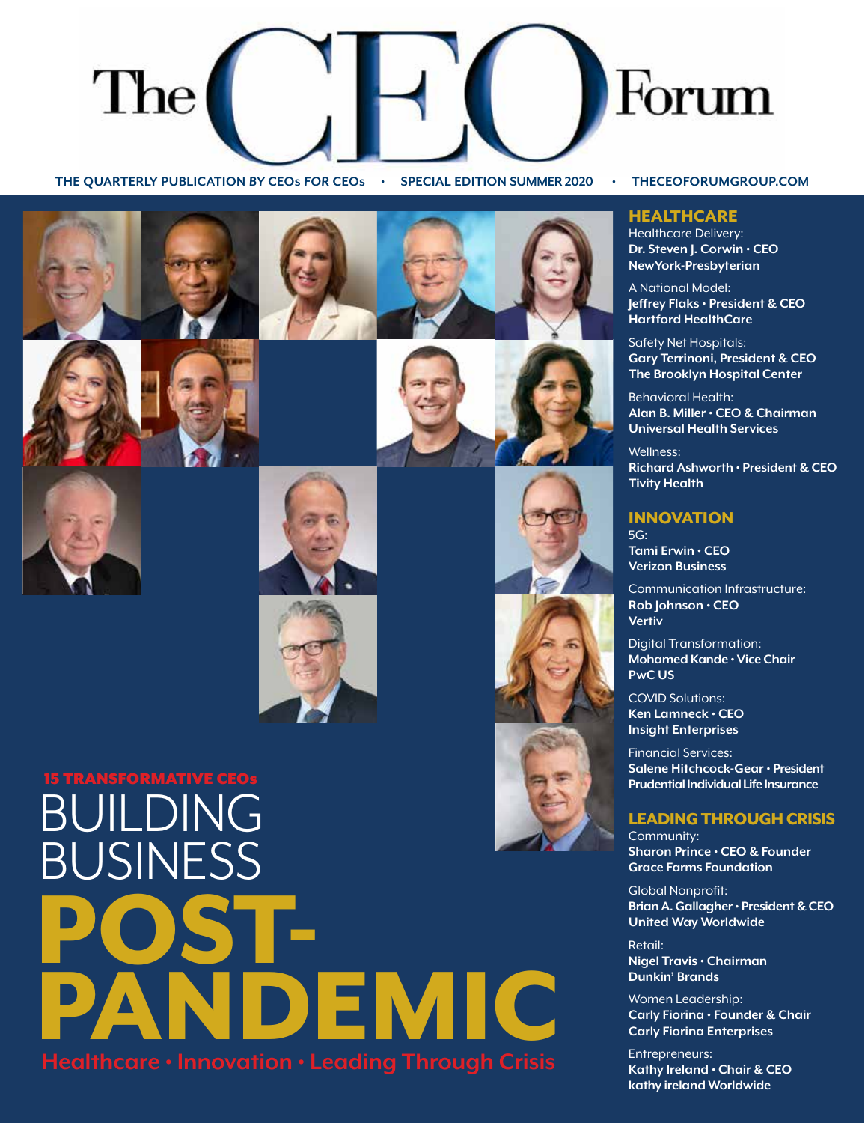

**THE QUARTERLY PUBLICATION BY CEOs FOR CEOs • SPECIAL EDITION SUMMER 2020 • THECEOFORUMGROUP.COM** 











## BUILDING BUSINESS POST-DEMIC **Healthcare • Innovation • Leading Through Crisis** 15 TRANSFORMATIVE CEOs

#### **HEALTHCARE**

Healthcare Delivery: **Dr. Steven J. Corwin • CEO NewYork-Presbyterian**

A National Model: **Jeffrey Flaks • President & CEO Hartford HealthCare**

Safety Net Hospitals: **Gary Terrinoni, President & CEO The Brooklyn Hospital Center**

Behavioral Health: **Alan B. Miller • CEO & Chairman Universal Health Services**

Wellness: **Richard Ashworth • President & CEO Tivity Health**

#### INNOVATION  $5G<sup>1</sup>$

**Tami Erwin • CEO Verizon Business**

Communication Infrastructure: **Rob Johnson • CEO Vertiv**

Digital Transformation: **Mohamed Kande • Vice Chair PwC US**

COVID Solutions: **Ken Lamneck • CEO Insight Enterprises**

Financial Services: **Salene Hitchcock-Gear • President Prudential Individual Life Insurance**

## LEADING THROUGH CRISIS

Community: **Sharon Prince • CEO & Founder Grace Farms Foundation**

Global Nonprofit: **Brian A. Gallagher • President & CEO United Way Worldwide**

Retail: **Nigel Travis • Chairman Dunkin' Brands**

Women Leadership: **Carly Fiorina • Founder & Chair Carly Fiorina Enterprises**

Entrepreneurs: **Kathy Ireland • Chair & CEO kathy ireland Worldwide**

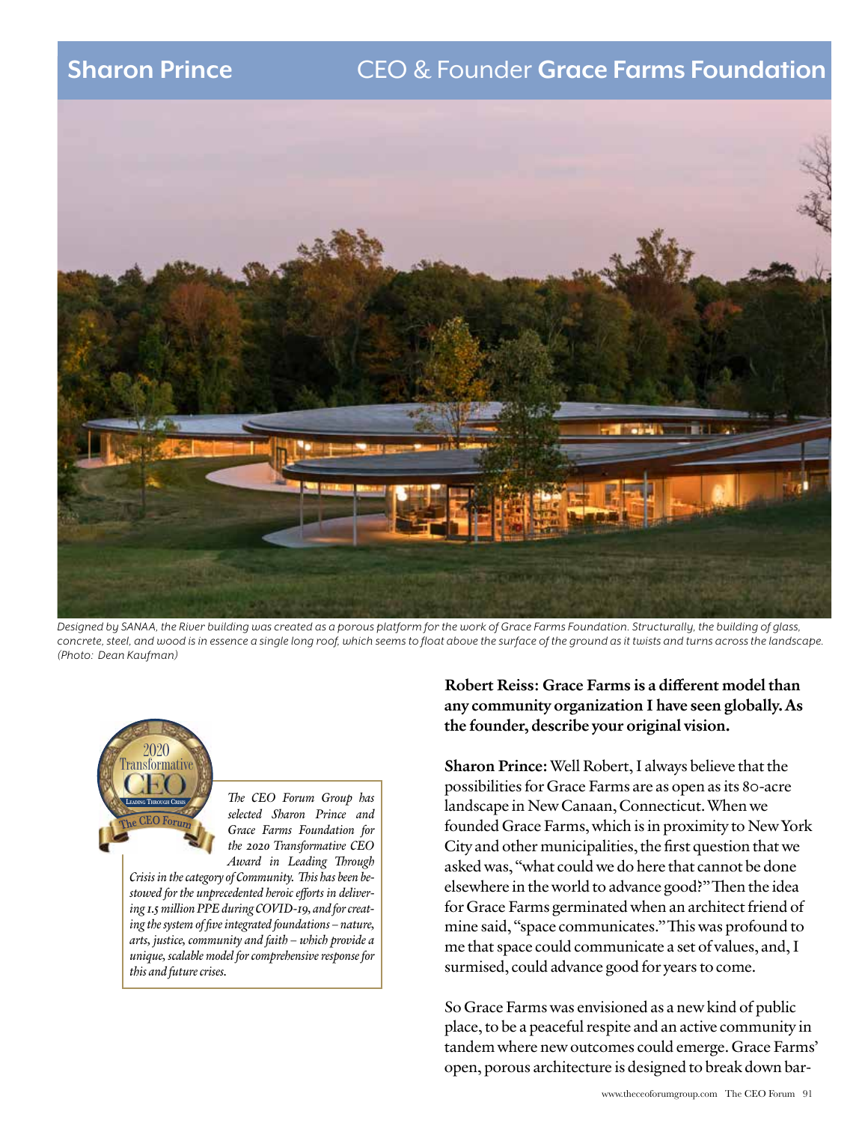## **Sharon Prince** CEO & Founder **Grace Farms Foundation**



*Designed by SANAA, the River building was created as a porous platform for the work of Grace Farms Foundation. Structurally, the building of glass, concrete, steel, and wood is in essence a single long roof, which seems to float above the surface of the ground as it twists and turns across the landscape. (Photo: Dean Kaufman)*



*The CEO Forum Group has selected Sharon Prince and Grace Farms Foundation for the 2020 Transformative CEO Award in Leading Through* 

*Crisis in the category of Community. This has been bestowed for the unprecedented heroic efforts in delivering 1.5 million PPE during COVID-19, and for creating the system of five integrated foundations – nature, arts, justice, community and faith – which provide a unique, scalable model for comprehensive response for this and future crises.* 

## Robert Reiss: Grace Farms is a different model than any community organization I have seen globally. As the founder, describe your original vision.

Sharon Prince: Well Robert, I always believe that the possibilities for Grace Farms are as open as its 80-acre landscape in New Canaan, Connecticut. When we founded Grace Farms, which is in proximity to New York City and other municipalities, the first question that we asked was, "what could we do here that cannot be done elsewhere in the world to advance good?" Then the idea for Grace Farms germinated when an architect friend of mine said, "space communicates." This was profound to me that space could communicate a set of values, and, I surmised, could advance good for years to come.

So Grace Farms was envisioned as a new kind of public place, to be a peaceful respite and an active community in tandem where new outcomes could emerge. Grace Farms' open, porous architecture is designed to break down bar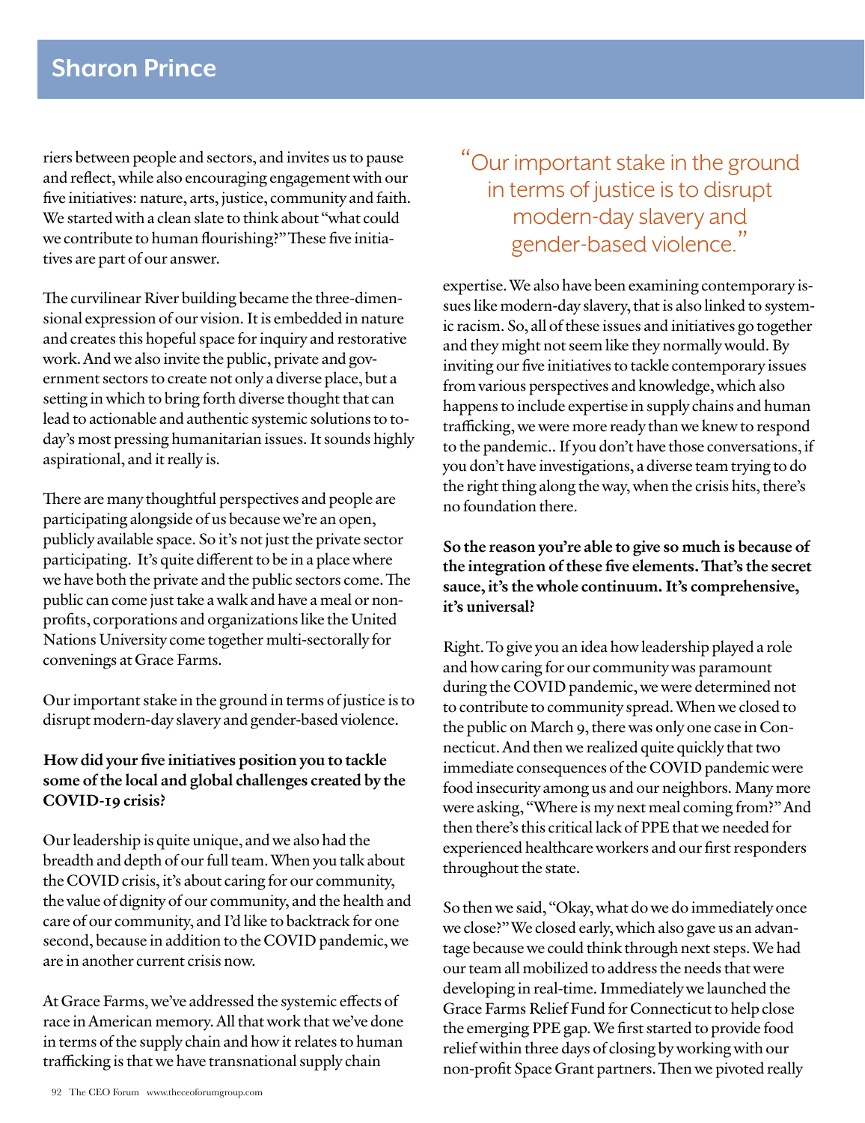riers between people and sectors, and invites us to pause and reflect, while also encouraging engagement with our five initiatives: nature, arts, justice, community and faith. We started with a clean slate to think about "what could we contribute to human flourishing?" These five initiatives are part of our answer.

The curvilinear River building became the three-dimensional expression of our vision. It is embedded in nature and creates this hopeful space for inquiry and restorative work. And we also invite the public, private and government sectors to create not only a diverse place, but a setting in which to bring forth diverse thought that can lead to actionable and authentic systemic solutions to today's most pressing humanitarian issues. It sounds highly aspirational, and it really is.

There are many thoughtful perspectives and people are participating alongside of us because we're an open, publicly available space. So it's not just the private sector participating. It's quite different to be in a place where we have both the private and the public sectors come. The public can come just take a walk and have a meal or nonprofits, corporations and organizations like the United Nations University come together multi-sectorally for convenings at Grace Farms.

Our important stake in the ground in terms of justice is to disrupt modern-day slavery and gender-based violence.

## How did your five initiatives position you to tackle some of the local and global challenges created by the COVID-19 crisis?

Our leadership is quite unique, and we also had the breadth and depth of our full team. When you talk about the COVID crisis, it's about caring for our community, the value of dignity of our community, and the health and care of our community, and I'd like to backtrack for one second, because in addition to the COVID pandemic, we are in another current crisis now.

At Grace Farms, we've addressed the systemic effects of race in American memory. All that work that we've done in terms of the supply chain and how it relates to human trafficking is that we have transnational supply chain

## "Our important stake in the ground in terms of justice is to disrupt modern-day slavery and gender-based violence."

expertise. We also have been examining contemporary issues like modern-day slavery, that is also linked to systemic racism. So, all of these issues and initiatives go together and they might not seem like they normally would. By inviting our five initiatives to tackle contemporary issues from various perspectives and knowledge, which also happens to include expertise in supply chains and human trafficking, we were more ready than we knew to respond to the pandemic.. If you don't have those conversations, if you don't have investigations, a diverse team trying to do the right thing along the way, when the crisis hits, there's no foundation there.

## So the reason you're able to give so much is because of the integration of these five elements. That's the secret sauce, it's the whole continuum. It's comprehensive, it's universal?

Right. To give you an idea how leadership played a role and how caring for our community was paramount during the COVID pandemic, we were determined not to contribute to community spread. When we closed to the public on March 9, there was only one case in Connecticut. And then we realized quite quickly that two immediate consequences of the COVID pandemic were food insecurity among us and our neighbors. Many more were asking, "Where is my next meal coming from?" And then there's this critical lack of PPE that we needed for experienced healthcare workers and our first responders throughout the state.

So then we said, "Okay, what do we do immediately once we close?" We closed early, which also gave us an advantage because we could think through next steps. We had our team all mobilized to address the needs that were developing in real-time. Immediately we launched the Grace Farms Relief Fund for Connecticut to help close the emerging PPE gap. We first started to provide food relief within three days of closing by working with our non-profit Space Grant partners. Then we pivoted really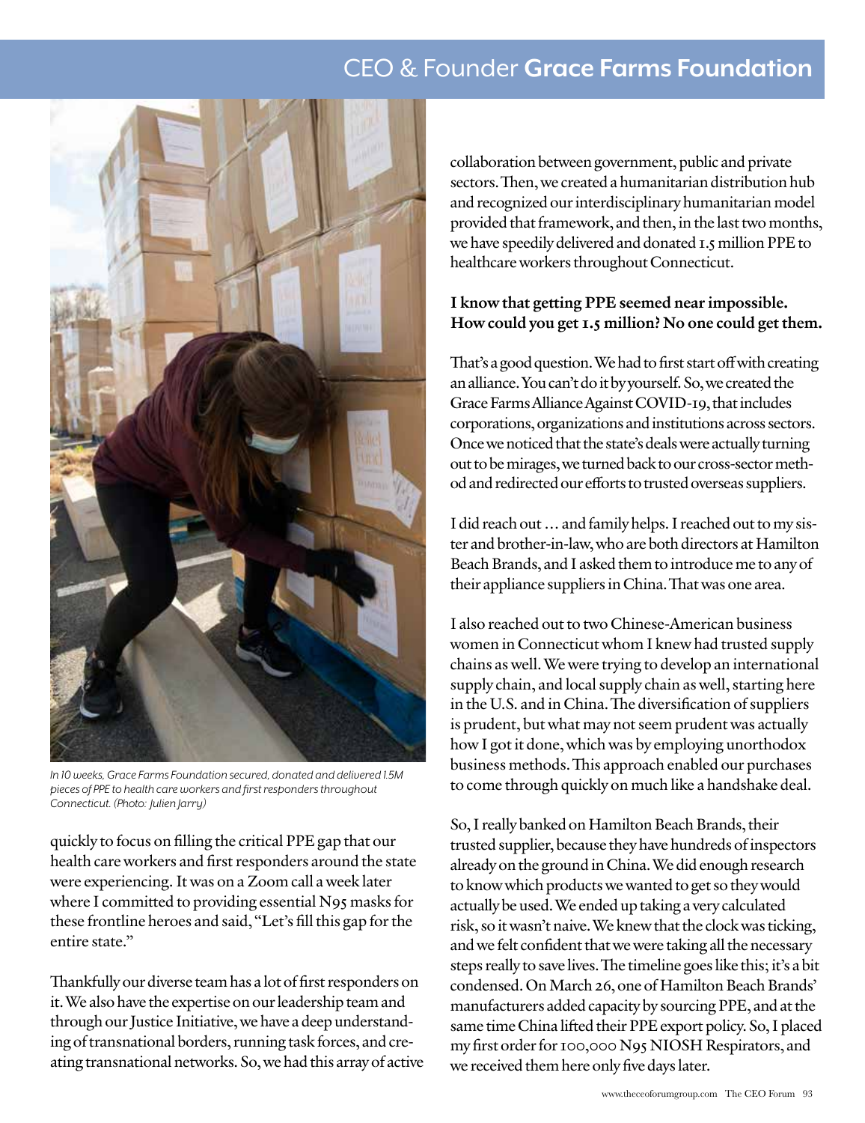## CEO & Founder **Grace Farms Foundation**



*In 10 weeks, Grace Farms Foundation secured, donated and delivered 1.5M pieces of PPE to health care workers and first responders throughout Connecticut. (Photo: Julien Jarry)*

quickly to focus on filling the critical PPE gap that our health care workers and first responders around the state were experiencing. It was on a Zoom call a week later where I committed to providing essential N95 masks for these frontline heroes and said, "Let's fill this gap for the entire state."

Thankfully our diverse team has a lot of first responders on it. We also have the expertise on our leadership team and through our Justice Initiative, we have a deep understanding of transnational borders, running task forces, and creating transnational networks. So, we had this array of active collaboration between government, public and private sectors. Then, we created a humanitarian distribution hub and recognized our interdisciplinary humanitarian model provided that framework, and then, in the last two months, we have speedily delivered and donated 1.5 million PPE to healthcare workers throughout Connecticut.

## I know that getting PPE seemed near impossible. How could you get 1.5 million? No one could get them.

That's a good question. We had to first start off with creating an alliance. You can't do it by yourself. So, we created the Grace Farms Alliance Against COVID-19, that includes corporations, organizations and institutions across sectors. Once we noticed that the state's deals were actually turning out to be mirages, we turned back to our cross-sector method and redirected our efforts to trusted overseas suppliers.

I did reach out … and family helps. I reached out to my sister and brother-in-law, who are both directors at Hamilton Beach Brands, and I asked them to introduce me to any of their appliance suppliers in China. That was one area.

I also reached out to two Chinese-American business women in Connecticut whom I knew had trusted supply chains as well. We were trying to develop an international supply chain, and local supply chain as well, starting here in the U.S. and in China. The diversification of suppliers is prudent, but what may not seem prudent was actually how I got it done, which was by employing unorthodox business methods. This approach enabled our purchases to come through quickly on much like a handshake deal.

So, I really banked on Hamilton Beach Brands, their trusted supplier, because they have hundreds of inspectors already on the ground in China. We did enough research to know which products we wanted to get so they would actually be used. We ended up taking a very calculated risk, so it wasn't naive. We knew that the clock was ticking, and we felt confident that we were taking all the necessary steps really to save lives. The timeline goes like this; it's a bit condensed. On March 26, one of Hamilton Beach Brands' manufacturers added capacity by sourcing PPE, and at the same time China lifted their PPE export policy. So, I placed my first order for 100,000 N95 NIOSH Respirators, and we received them here only five days later.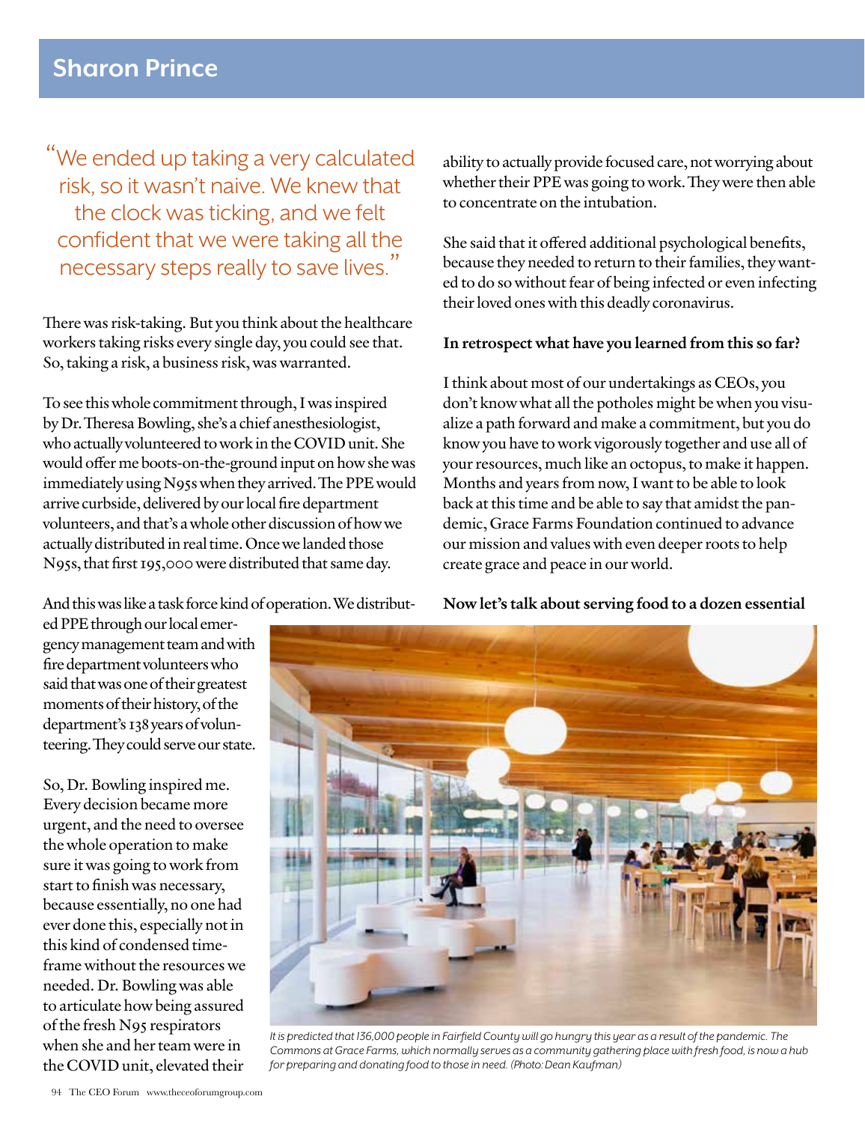"We ended up taking a very calculated risk, so it wasn't naive. We knew that the clock was ticking, and we felt confident that we were taking all the necessary steps really to save lives."

There was risk-taking. But you think about the healthcare workers taking risks every single day, you could see that. So, taking a risk, a business risk, was warranted.

To see this whole commitment through, I was inspired by Dr. Theresa Bowling, she's a chief anesthesiologist, who actually volunteered to work in the COVID unit. She would offer me boots-on-the-ground input on how she was immediately using N95s when they arrived. The PPE would arrive curbside, delivered by our local fire department volunteers, and that's a whole other discussion of how we actually distributed in real time. Once we landed those N95s, that first 195,000 were distributed that same day.

And this was like a task force kind of operation. We distribut-

ed PPE through our local emergency management team and with fire department volunteers who said that was one of their greatest moments of their history, of the department's 138 years of volunteering. They could serve our state.

So, Dr. Bowling inspired me. Every decision became more urgent, and the need to oversee the whole operation to make sure it was going to work from start to finish was necessary, because essentially, no one had ever done this, especially not in this kind of condensed timeframe without the resources we needed. Dr. Bowling was able to articulate how being assured of the fresh N95 respirators when she and her team were in the COVID unit, elevated their

ability to actually provide focused care, not worrying about whether their PPE was going to work. They were then able to concentrate on the intubation.

She said that it offered additional psychological benefits, because they needed to return to their families, they wanted to do so without fear of being infected or even infecting their loved ones with this deadly coronavirus.

## In retrospect what have you learned from this so far?

I think about most of our undertakings as CEOs, you don't know what all the potholes might be when you visualize a path forward and make a commitment, but you do know you have to work vigorously together and use all of your resources, much like an octopus, to make it happen. Months and years from now, I want to be able to look back at this time and be able to say that amidst the pandemic, Grace Farms Foundation continued to advance our mission and values with even deeper roots to help create grace and peace in our world.

Now let's talk about serving food to a dozen essential



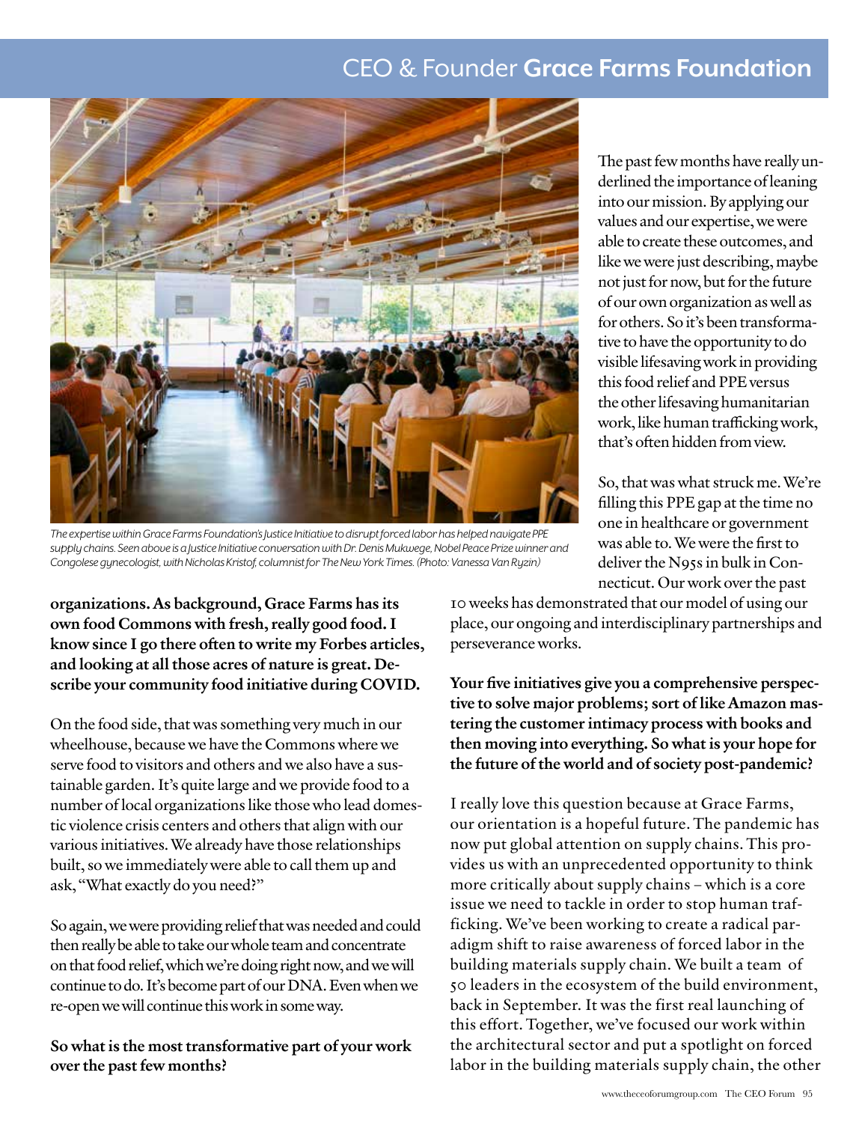## CEO & Founder **Grace Farms Foundation**



*The expertise within Grace Farms Foundation's Justice Initiative to disrupt forced labor has helped navigate PPE supply chains. Seen above is a Justice Initiative conversation with Dr. Denis Mukwege, Nobel Peace Prize winner and Congolese gynecologist, with Nicholas Kristof, columnist for The New York Times. (Photo: Vanessa Van Ryzin)*

organizations. As background, Grace Farms has its own food Commons with fresh, really good food. I know since I go there often to write my Forbes articles, and looking at all those acres of nature is great. Describe your community food initiative during COVID.

On the food side, that was something very much in our wheelhouse, because we have the Commons where we serve food to visitors and others and we also have a sustainable garden. It's quite large and we provide food to a number of local organizations like those who lead domestic violence crisis centers and others that align with our various initiatives. We already have those relationships built, so we immediately were able to call them up and ask, "What exactly do you need?"

So again, we were providing relief that was needed and could then really be able to take our whole team and concentrate on that food relief, which we're doing right now, and we will continue to do. It's become part of our DNA. Even when we re-open we will continue this work in some way.

So what is the most transformative part of your work over the past few months?

The past few months have really underlined the importance of leaning into our mission. By applying our values and our expertise, we were able to create these outcomes, and like we were just describing, maybe not just for now, but for the future of our own organization as well as for others. So it's been transformative to have the opportunity to do visible lifesaving work in providing this food relief and PPE versus the other lifesaving humanitarian work, like human trafficking work, that's often hidden from view.

So, that was what struck me. We're filling this PPE gap at the time no one in healthcare or government was able to. We were the first to deliver the N95s in bulk in Connecticut. Our work over the past

10 weeks has demonstrated that our model of using our place, our ongoing and interdisciplinary partnerships and perseverance works.

Your five initiatives give you a comprehensive perspective to solve major problems; sort of like Amazon mastering the customer intimacy process with books and then moving into everything. So what is your hope for the future of the world and of society post-pandemic?

I really love this question because at Grace Farms, our orientation is a hopeful future. The pandemic has now put global attention on supply chains. This provides us with an unprecedented opportunity to think more critically about supply chains – which is a core issue we need to tackle in order to stop human trafficking. We've been working to create a radical paradigm shift to raise awareness of forced labor in the building materials supply chain. We built a team of 50 leaders in the ecosystem of the build environment, back in September. It was the first real launching of this effort. Together, we've focused our work within the architectural sector and put a spotlight on forced labor in the building materials supply chain, the other